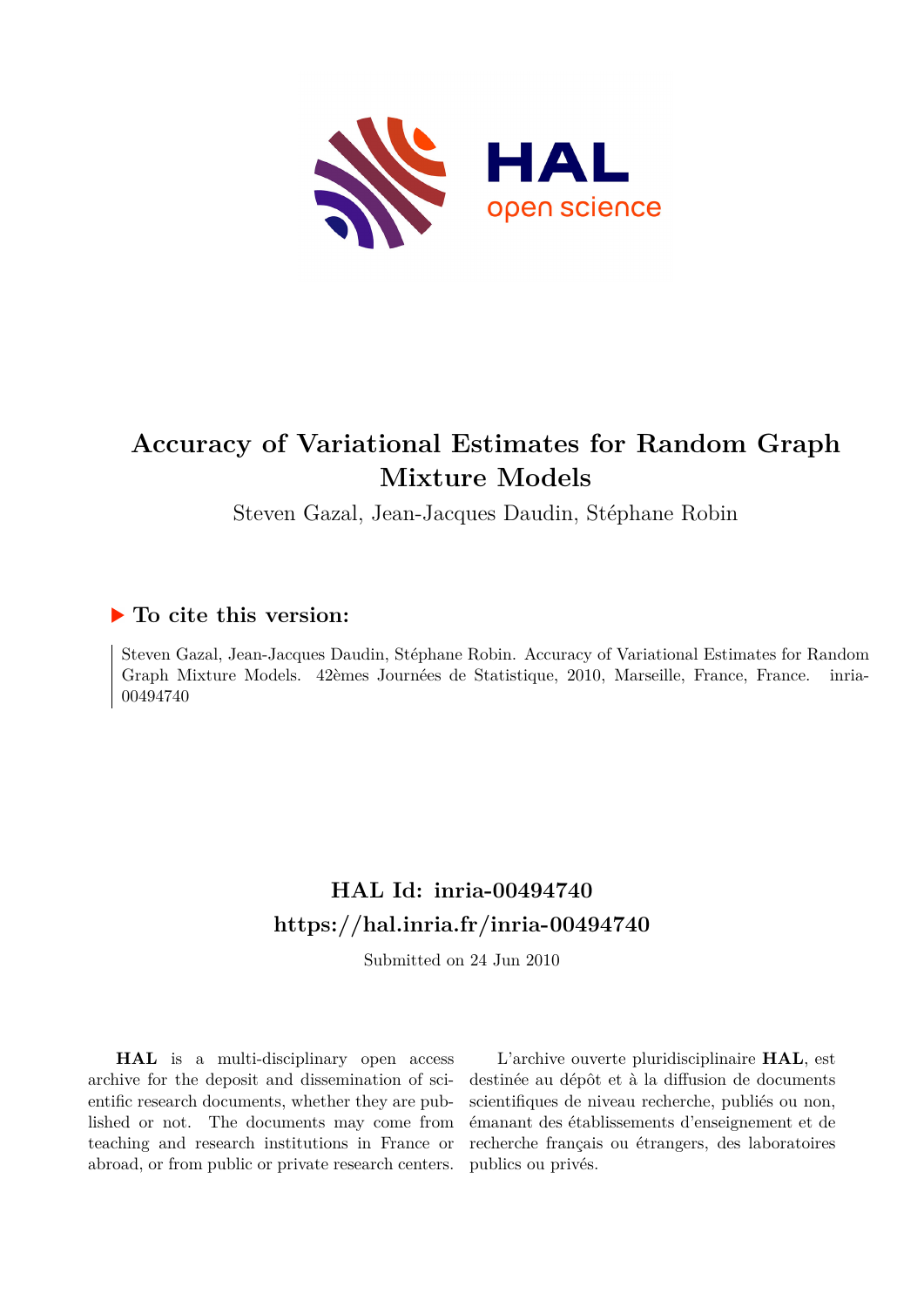

# **Accuracy of Variational Estimates for Random Graph Mixture Models**

Steven Gazal, Jean-Jacques Daudin, Stéphane Robin

### **To cite this version:**

Steven Gazal, Jean-Jacques Daudin, Stéphane Robin. Accuracy of Variational Estimates for Random Graph Mixture Models. 42èmes Journées de Statistique, 2010, Marseille, France, France. ffinria-00494740ff

## **HAL Id: inria-00494740 <https://hal.inria.fr/inria-00494740>**

Submitted on 24 Jun 2010

**HAL** is a multi-disciplinary open access archive for the deposit and dissemination of scientific research documents, whether they are published or not. The documents may come from teaching and research institutions in France or abroad, or from public or private research centers.

L'archive ouverte pluridisciplinaire **HAL**, est destinée au dépôt et à la diffusion de documents scientifiques de niveau recherche, publiés ou non, émanant des établissements d'enseignement et de recherche français ou étrangers, des laboratoires publics ou privés.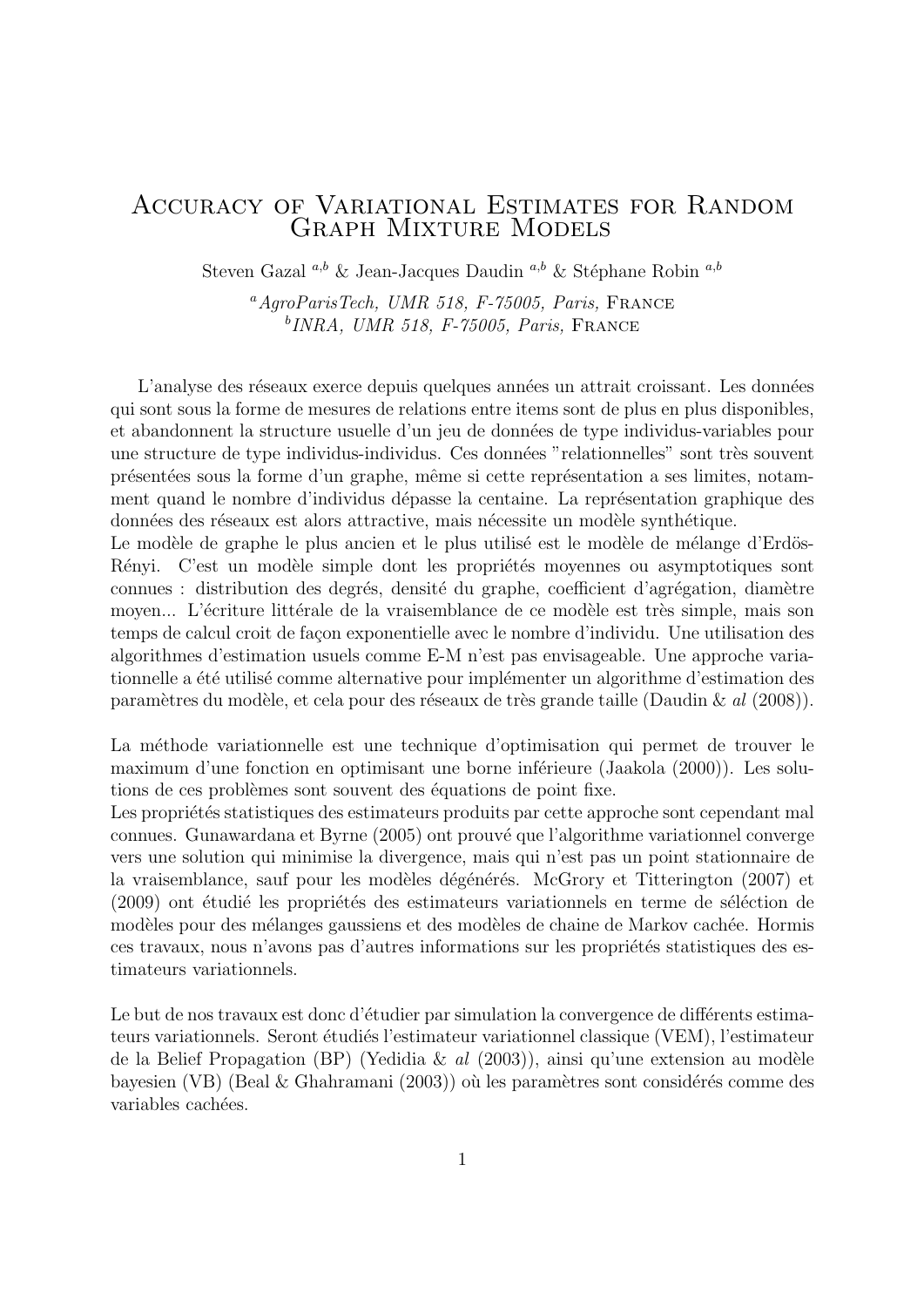## Accuracy of Variational Estimates for Random Graph Mixture Models

Steven Gazal <sup>a,b</sup> & Jean-Jacques Daudin <sup>a,b</sup> & Stéphane Robin <sup>a,b</sup>

 $^{a}AqroParisTech$ , UMR 518, F-75005, Paris, FRANCE <sup>b</sup>INRA, UMR 518, F-75005, Paris, FRANCE

L'analyse des réseaux exerce depuis quelques années un attrait croissant. Les données qui sont sous la forme de mesures de relations entre items sont de plus en plus disponibles, et abandonnent la structure usuelle d'un jeu de données de type individus-variables pour une structure de type individus-individus. Ces données "relationnelles" sont très souvent présentées sous la forme d'un graphe, même si cette représentation a ses limites, notamment quand le nombre d'individus dépasse la centaine. La représentation graphique des données des réseaux est alors attractive, mais nécessite un modèle synthétique.

Le modèle de graphe le plus ancien et le plus utilisé est le modèle de mélange d'Erdös-Rényi. C'est un modèle simple dont les propriétés moyennes ou asymptotiques sont connues : distribution des degrés, densité du graphe, coefficient d'agrégation, diamètre moyen... L'écriture littérale de la vraisemblance de ce modèle est très simple, mais son temps de calcul croit de façon exponentielle avec le nombre d'individu. Une utilisation des algorithmes d'estimation usuels comme E-M n'est pas envisageable. Une approche variationnelle a été utilisé comme alternative pour implémenter un algorithme d'estimation des paramètres du modèle, et cela pour des réseaux de très grande taille (Daudin & al (2008)).

La méthode variationnelle est une technique d'optimisation qui permet de trouver le maximum d'une fonction en optimisant une borne inférieure (Jaakola (2000)). Les solutions de ces problèmes sont souvent des équations de point fixe.

Les propriétés statistiques des estimateurs produits par cette approche sont cependant mal connues. Gunawardana et Byrne (2005) ont prouvé que l'algorithme variationnel converge vers une solution qui minimise la divergence, mais qui n'est pas un point stationnaire de la vraisemblance, sauf pour les modèles dégénérés. McGrory et Titterington (2007) et (2009) ont étudié les propriétés des estimateurs variationnels en terme de séléction de modèles pour des mélanges gaussiens et des modèles de chaine de Markov cachée. Hormis ces travaux, nous n'avons pas d'autres informations sur les propriétés statistiques des estimateurs variationnels.

Le but de nos travaux est donc d'étudier par simulation la convergence de différents estimateurs variationnels. Seront étudiés l'estimateur variationnel classique (VEM), l'estimateur de la Belief Propagation (BP) (Yedidia & al  $(2003)$ ), ainsi qu'une extension au modèle bayesien (VB) (Beal  $&$  Ghahramani (2003)) où les paramètres sont considérés comme des variables cachées.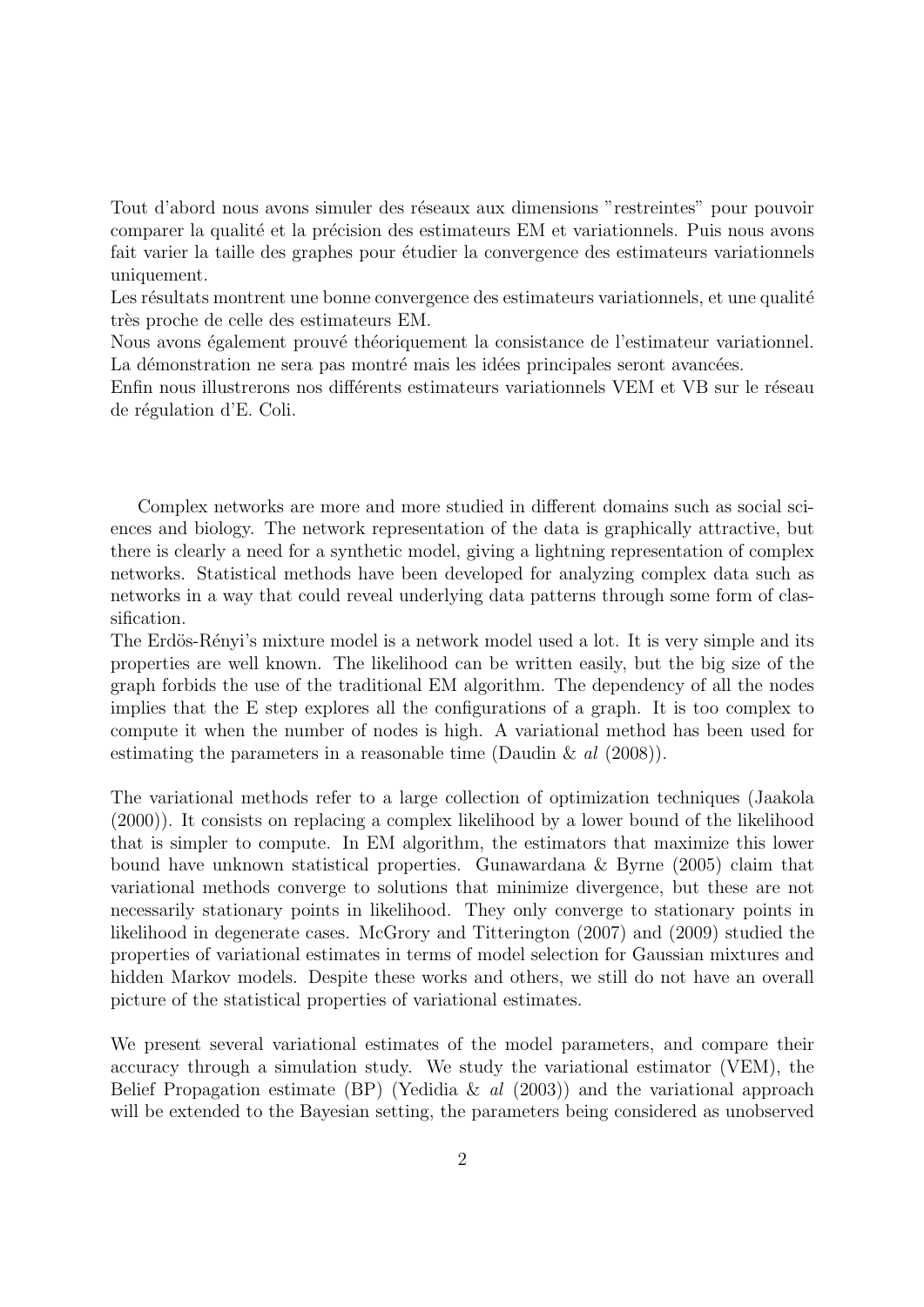Tout d'abord nous avons simuler des réseaux aux dimensions "restreintes" pour pouvoir comparer la qualité et la précision des estimateurs EM et variationnels. Puis nous avons fait varier la taille des graphes pour étudier la convergence des estimateurs variationnels uniquement.

Les résultats montrent une bonne convergence des estimateurs variationnels, et une qualité très proche de celle des estimateurs EM.

Nous avons également prouvé théoriquement la consistance de l'estimateur variationnel. La démonstration ne sera pas montré mais les idées principales seront avancées.

Enfin nous illustrerons nos différents estimateurs variationnels VEM et VB sur le réseau de régulation d'E. Coli.

Complex networks are more and more studied in different domains such as social sciences and biology. The network representation of the data is graphically attractive, but there is clearly a need for a synthetic model, giving a lightning representation of complex networks. Statistical methods have been developed for analyzing complex data such as networks in a way that could reveal underlying data patterns through some form of classification.

The Erdös-Rényi's mixture model is a network model used a lot. It is very simple and its properties are well known. The likelihood can be written easily, but the big size of the graph forbids the use of the traditional EM algorithm. The dependency of all the nodes implies that the E step explores all the configurations of a graph. It is too complex to compute it when the number of nodes is high. A variational method has been used for estimating the parameters in a reasonable time (Daudin & al (2008)).

The variational methods refer to a large collection of optimization techniques (Jaakola (2000)). It consists on replacing a complex likelihood by a lower bound of the likelihood that is simpler to compute. In EM algorithm, the estimators that maximize this lower bound have unknown statistical properties. Gunawardana & Byrne (2005) claim that variational methods converge to solutions that minimize divergence, but these are not necessarily stationary points in likelihood. They only converge to stationary points in likelihood in degenerate cases. McGrory and Titterington (2007) and (2009) studied the properties of variational estimates in terms of model selection for Gaussian mixtures and hidden Markov models. Despite these works and others, we still do not have an overall picture of the statistical properties of variational estimates.

We present several variational estimates of the model parameters, and compare their accuracy through a simulation study. We study the variational estimator (VEM), the Belief Propagation estimate (BP) (Yedidia & al  $(2003)$ ) and the variational approach will be extended to the Bayesian setting, the parameters being considered as unobserved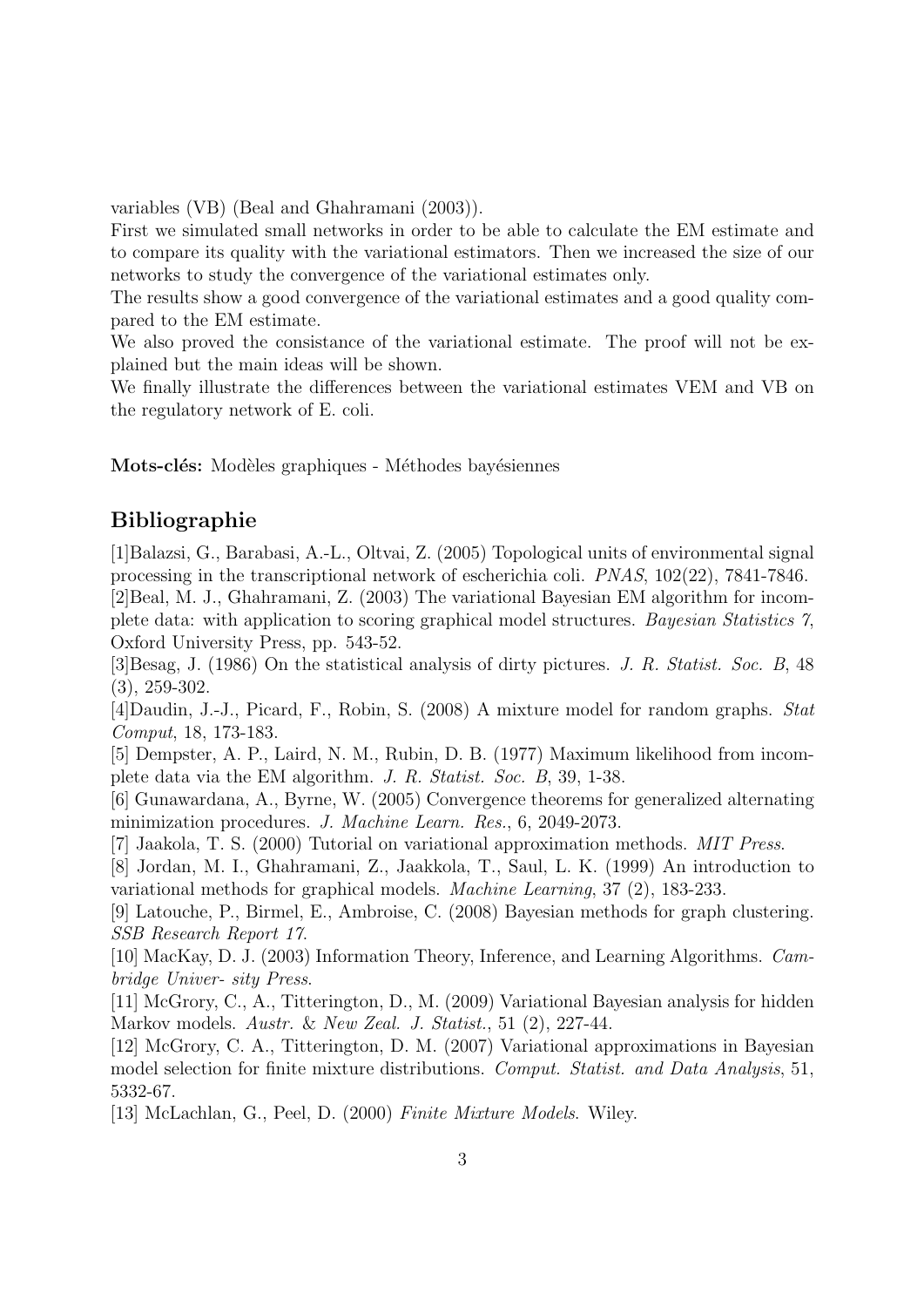variables (VB) (Beal and Ghahramani (2003)).

First we simulated small networks in order to be able to calculate the EM estimate and to compare its quality with the variational estimators. Then we increased the size of our networks to study the convergence of the variational estimates only.

The results show a good convergence of the variational estimates and a good quality compared to the EM estimate.

We also proved the consistance of the variational estimate. The proof will not be explained but the main ideas will be shown.

We finally illustrate the differences between the variational estimates VEM and VB on the regulatory network of E. coli.

Mots-clés: Modèles graphiques - Méthodes bayésiennes

#### Bibliographie

[1]Balazsi, G., Barabasi, A.-L., Oltvai, Z. (2005) Topological units of environmental signal processing in the transcriptional network of escherichia coli. PNAS, 102(22), 7841-7846.

[2]Beal, M. J., Ghahramani, Z. (2003) The variational Bayesian EM algorithm for incomplete data: with application to scoring graphical model structures. Bayesian Statistics 7, Oxford University Press, pp. 543-52.

[3]Besag, J. (1986) On the statistical analysis of dirty pictures. J. R. Statist. Soc. B, 48 (3), 259-302.

[4]Daudin, J.-J., Picard, F., Robin, S. (2008) A mixture model for random graphs. Stat Comput, 18, 173-183.

[5] Dempster, A. P., Laird, N. M., Rubin, D. B. (1977) Maximum likelihood from incomplete data via the EM algorithm. J. R. Statist. Soc. B, 39, 1-38.

[6] Gunawardana, A., Byrne, W. (2005) Convergence theorems for generalized alternating minimization procedures. J. Machine Learn. Res., 6, 2049-2073.

[7] Jaakola, T. S. (2000) Tutorial on variational approximation methods. MIT Press.

[8] Jordan, M. I., Ghahramani, Z., Jaakkola, T., Saul, L. K. (1999) An introduction to variational methods for graphical models. Machine Learning, 37 (2), 183-233.

[9] Latouche, P., Birmel, E., Ambroise, C. (2008) Bayesian methods for graph clustering. SSB Research Report 17.

[10] MacKay, D. J. (2003) Information Theory, Inference, and Learning Algorithms. Cambridge Univer- sity Press.

[11] McGrory, C., A., Titterington, D., M. (2009) Variational Bayesian analysis for hidden Markov models. Austr. & New Zeal. J. Statist., 51 (2), 227-44.

[12] McGrory, C. A., Titterington, D. M. (2007) Variational approximations in Bayesian model selection for finite mixture distributions. Comput. Statist. and Data Analysis, 51, 5332-67.

[13] McLachlan, G., Peel, D. (2000) Finite Mixture Models. Wiley.